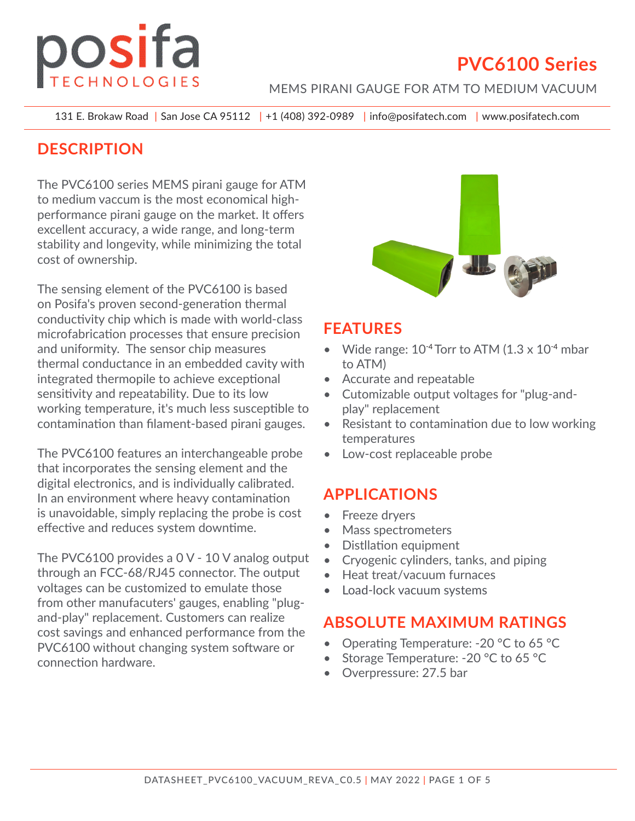# posifa ECHNOLOGIES

# **PVC6100 Series**

MEMS PIRANI GAUGE FOR ATM TO MEDIUM VACUUM

131 E. Brokaw Road | San Jose CA 95112 | +1 (408) 392-0989 | info@posifatech.com | www.posifatech.com

### **DESCRIPTION**

The PVC6100 series MEMS pirani gauge for ATM to medium vaccum is the most economical highperformance pirani gauge on the market. It offers excellent accuracy, a wide range, and long-term stability and longevity, while minimizing the total cost of ownership.

The sensing element of the PVC6100 is based on Posifa's proven second-generation thermal conductivity chip which is made with world-class microfabrication processes that ensure precision and uniformity. The sensor chip measures thermal conductance in an embedded cavity with integrated thermopile to achieve exceptional sensitivity and repeatability. Due to its low working temperature, it's much less susceptible to contamination than filament-based pirani gauges.

The PVC6100 features an interchangeable probe that incorporates the sensing element and the digital electronics, and is individually calibrated. In an environment where heavy contamination is unavoidable, simply replacing the probe is cost effective and reduces system downtime.

The PVC6100 provides a 0 V - 10 V analog output through an FCC-68/RJ45 connector. The output voltages can be customized to emulate those from other manufacuters' gauges, enabling "plugand-play" replacement. Customers can realize cost savings and enhanced performance from the PVC6100 without changing system software or connection hardware.



### **FEATURES**

- Wide range:  $10^{-4}$  Torr to ATM  $(1.3 \times 10^{-4}$  mbar to ATM)
- Accurate and repeatable
- Cutomizable output voltages for "plug-andplay" replacement
- Resistant to contamination due to low working temperatures
- Low-cost replaceable probe

### **APPLICATIONS**

- Freeze dryers
- Mass spectrometers
- Distllation equipment
- Cryogenic cylinders, tanks, and piping
- Heat treat/vacuum furnaces
- Load-lock vacuum systems

### **ABSOLUTE MAXIMUM RATINGS**

- Operating Temperature: -20 °C to 65 °C
- Storage Temperature: -20 °C to 65 °C
- Overpressure: 27.5 bar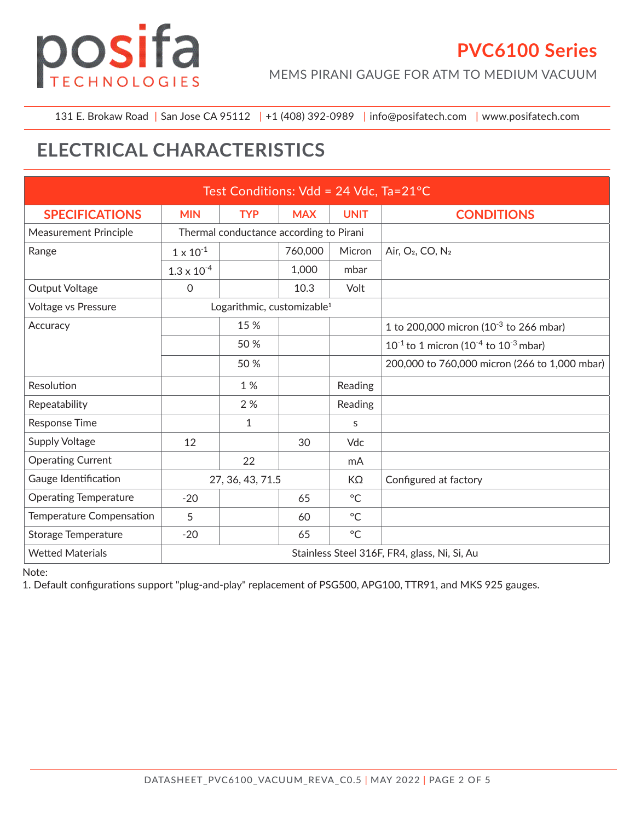# posifa **TECHNOLOGIES**

## **PVC6100 Series**

MEMS PIRANI GAUGE FOR ATM TO MEDIUM VACUUM

131 E. Brokaw Road | San Jose CA 95112 | +1 (408) 392-0989 | info@posifatech.com | www.posifatech.com

## **ELECTRICAL CHARACTERISTICS**

| Test Conditions: Vdd = 24 Vdc, Ta=21°C |                                              |              |            |                       |                                                            |
|----------------------------------------|----------------------------------------------|--------------|------------|-----------------------|------------------------------------------------------------|
| <b>SPECIFICATIONS</b>                  | <b>MIN</b>                                   | <b>TYP</b>   | <b>MAX</b> | <b>UNIT</b>           | <b>CONDITIONS</b>                                          |
| <b>Measurement Principle</b>           | Thermal conductance according to Pirani      |              |            |                       |                                                            |
| Range                                  | $1 \times 10^{-1}$                           |              | 760,000    | Micron                | Air, O <sub>2</sub> , CO, N <sub>2</sub>                   |
|                                        | $1.3 \times 10^{-4}$                         |              | 1,000      | mbar                  |                                                            |
| Output Voltage                         | 0                                            |              | 10.3       | Volt                  |                                                            |
| <b>Voltage vs Pressure</b>             | Logarithmic, customizable <sup>1</sup>       |              |            |                       |                                                            |
| Accuracy                               |                                              | 15 %         |            |                       | 1 to 200,000 micron ( $10^{-3}$ to 266 mbar)               |
|                                        |                                              | 50 %         |            |                       | $10^{-1}$ to 1 micron (10 <sup>-4</sup> to $10^{-3}$ mbar) |
|                                        |                                              | 50 %         |            |                       | 200,000 to 760,000 micron (266 to 1,000 mbar)              |
| Resolution                             |                                              | 1%           |            | Reading               |                                                            |
| Repeatability                          |                                              | 2%           |            | Reading               |                                                            |
| <b>Response Time</b>                   |                                              | $\mathbf{1}$ |            | S                     |                                                            |
| Supply Voltage                         | 12                                           |              | 30         | <b>Vdc</b>            |                                                            |
| <b>Operating Current</b>               |                                              | 22           |            | mA                    |                                                            |
| Gauge Identification                   | 27, 36, 43, 71.5<br>KΩ                       |              |            | Configured at factory |                                                            |
| <b>Operating Temperature</b>           | $-20$                                        |              | 65         | $^{\circ}C$           |                                                            |
| Temperature Compensation               | 5                                            |              | 60         | $^{\circ}$ C          |                                                            |
| <b>Storage Temperature</b>             | $-20$                                        |              | 65         | $\rm ^{\circ}C$       |                                                            |
| <b>Wetted Materials</b>                | Stainless Steel 316F, FR4, glass, Ni, Si, Au |              |            |                       |                                                            |

Note:

1. Default configurations support "plug-and-play" replacement of PSG500, APG100, TTR91, and MKS 925 gauges.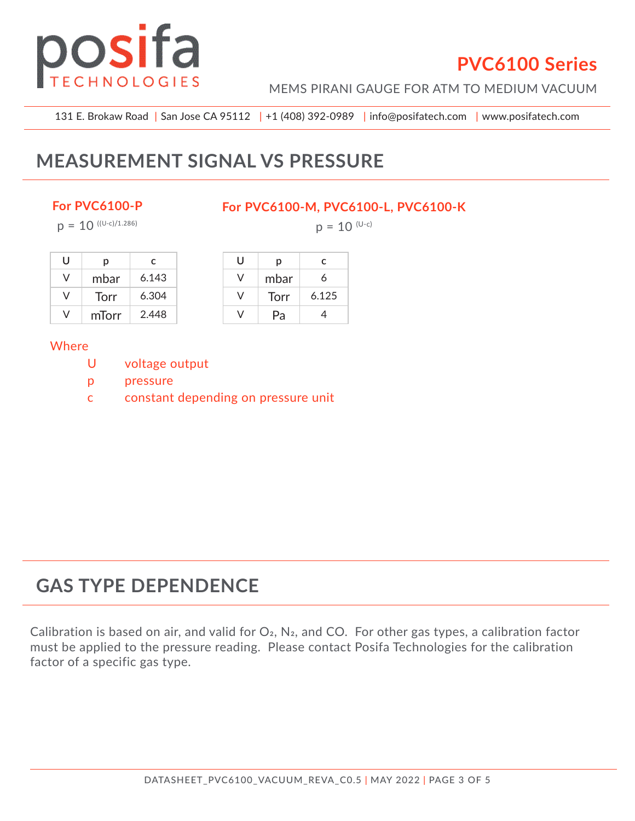

### **PVC6100 Series**

MEMS PIRANI GAUGE FOR ATM TO MEDIUM VACUUM

131 E. Brokaw Road | San Jose CA 95112 | +1 (408) 392-0989 | info@posifatech.com | www.posifatech.com

**For PVC6100-M, PVC6100-L, PVC6100-K**  $p = 10^{(U-c)}$ 

### **MEASUREMENT SIGNAL VS PRESSURE**

#### **For PVC6100-P**

 $p = 10$  ((U-c)/1.286)

| U | p     | C     |
|---|-------|-------|
| V | mbar  | 6.143 |
|   | Torr  | 6.304 |
|   | mTorr | 2.448 |

| U | р    | C     |
|---|------|-------|
|   | mbar | 6     |
|   | Torr | 6.125 |
|   | Pa   |       |

#### **Where**

- U voltage output
- p pressure
- c constant depending on pressure unit

# **GAS TYPE DEPENDENCE**

Calibration is based on air, and valid for  $O_2$ ,  $N_2$ , and CO. For other gas types, a calibration factor must be applied to the pressure reading. Please contact Posifa Technologies for the calibration factor of a specific gas type.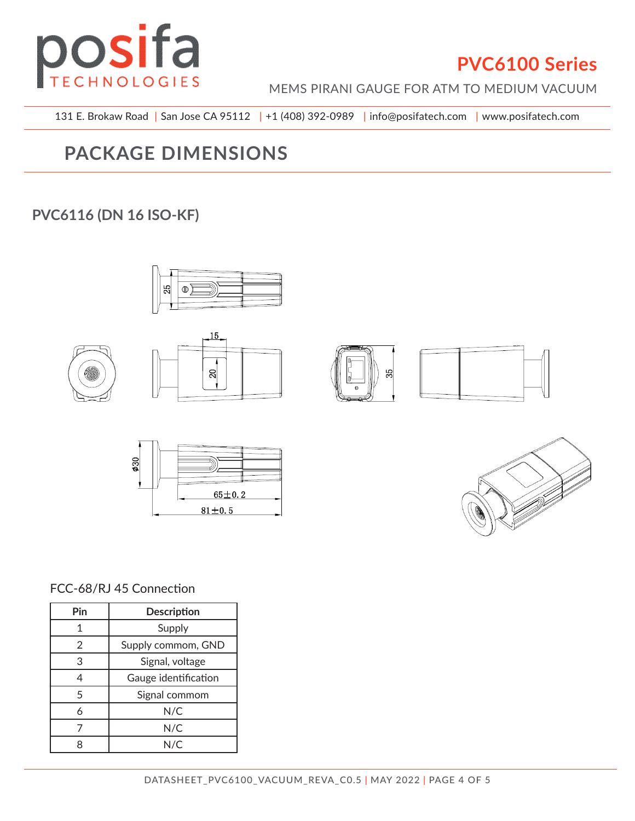

## **PVC6100 Series**

MEMS PIRANI GAUGE FOR ATM TO MEDIUM VACUUM

131 E. Brokaw Road | San Jose CA 95112 | +1 (408) 392-0989 | info@posifatech.com | www.posifatech.com

## **PACKAGE DIMENSIONS**

### **PVC6116 (DN 16 ISO-KF)**







 $65 + 0.2$  $81 + 0.5$ 







#### FCC-68/RJ 45 Connection

 $\phi_{30}$ 

| Pin | <b>Description</b>   |
|-----|----------------------|
| 1   | Supply               |
| 2   | Supply commom, GND   |
| 3   | Signal, voltage      |
| 4   | Gauge identification |
| 5   | Signal commom        |
| 6   | N/C                  |
|     | N/C                  |
|     | N/C                  |